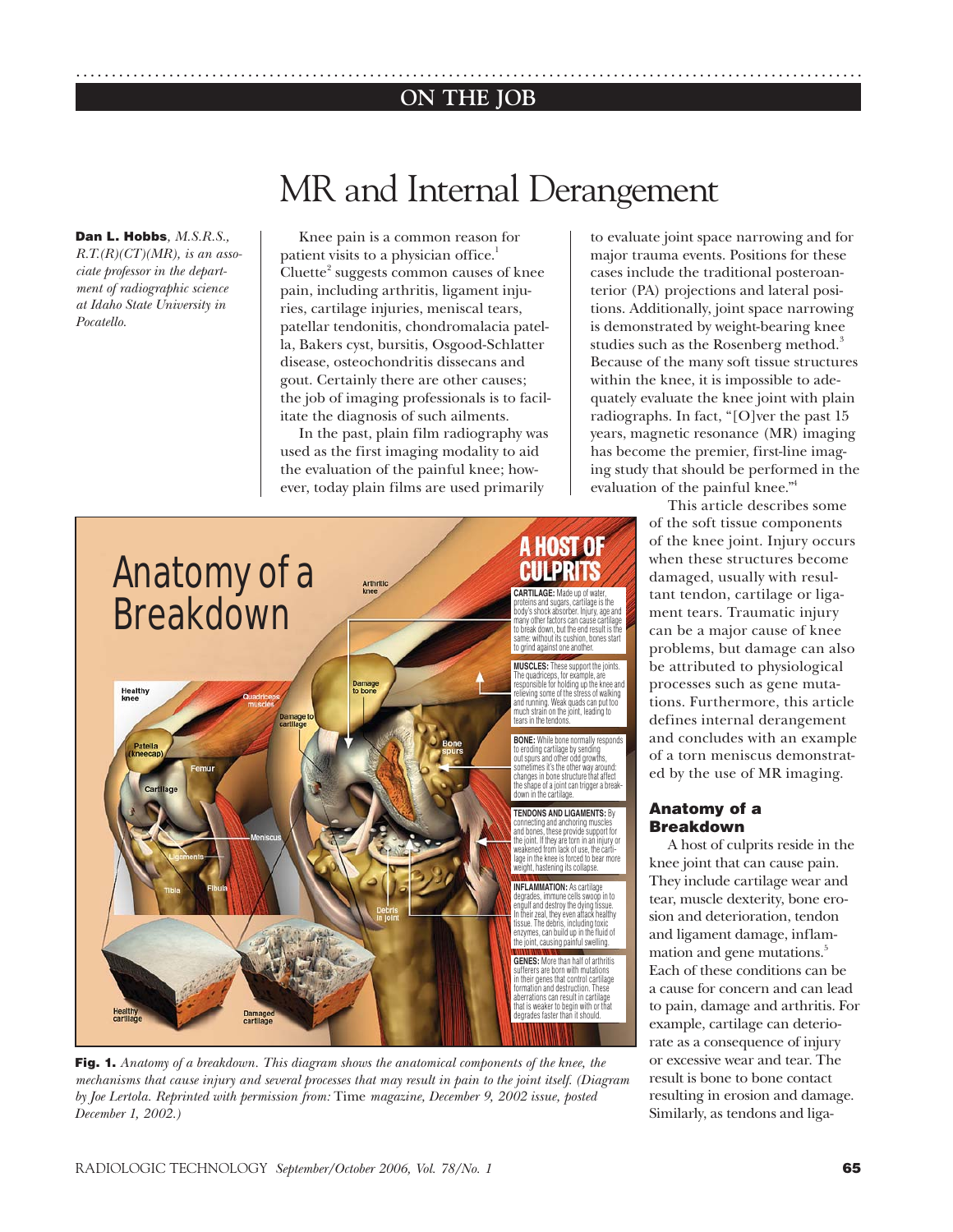## **ON THE JOB** ..............................................................................................................

# MR and Internal Derangement

**Dan L. Hobbs***, M.S.R.S., R.T.(R)(CT)(MR), is an associate professor in the department of radiographic science at Idaho State University in Pocatello.*

Knee pain is a common reason for patient visits to a physician office.<sup>1</sup> Cluette<sup>2</sup> suggests common causes of knee pain, including arthritis, ligament injuries, cartilage injuries, meniscal tears, patellar tendonitis, chondromalacia patella, Bakers cyst, bursitis, Osgood-Schlatter disease, osteochondritis dissecans and gout. Certainly there are other causes; the job of imaging professionals is to facilitate the diagnosis of such ailments.

In the past, plain film radiography was used as the first imaging modality to aid the evaluation of the painful knee; however, today plain films are used primarily

to evaluate joint space narrowing and for major trauma events. Positions for these cases include the traditional posteroanterior (PA) projections and lateral positions. Additionally, joint space narrowing is demonstrated by weight-bearing knee studies such as the Rosenberg method.<sup>3</sup> Because of the many soft tissue structures within the knee, it is impossible to adequately evaluate the knee joint with plain radiographs. In fact, "[O]ver the past 15 years, magnetic resonance (MR) imaging has become the premier, first-line imaging study that should be performed in the evaluation of the painful knee."4

**A HOST OF** Anatomy of a **CULPRITS CARTILAGE:** Made up of water,<br>proteins and sugars, cartilage is the<br>body's shock absorber. Injury, age and **Breakdown** The quadriceps, for example, are responsible for holding up the knee and relieving some of the stress of walking and running. Weak quads can put too Damage<br>lo bone **Healthy**<br>knee much strain on the joint, leading to tears in the tendons. down in the cartilage. degrades faster than it should.

**Fig. 1.** *Anatomy of a breakdown. This diagram shows the anatomical components of the knee, the mechanisms that cause injury and several processes that may result in pain to the joint itself. (Diagram by Joe Lertola. Reprinted with permission from:* Time *magazine, December 9, 2002 issue, posted December 1, 2002.)*

This article describes some of the soft tissue components of the knee joint. Injury occurs when these structures become damaged, usually with resultant tendon, cartilage or ligament tears. Traumatic injury can be a major cause of knee problems, but damage can also be attributed to physiological processes such as gene mutations. Furthermore, this article defines internal derangement and concludes with an example of a torn meniscus demonstrated by the use of MR imaging.

### **Anatomy of a Breakdown**

A host of culprits reside in the knee joint that can cause pain. They include cartilage wear and tear, muscle dexterity, bone erosion and deterioration, tendon and ligament damage, inflammation and gene mutations.<sup>5</sup> Each of these conditions can be a cause for concern and can lead to pain, damage and arthritis. For example, cartilage can deteriorate as a consequence of injury or excessive wear and tear. The result is bone to bone contact resulting in erosion and damage. Similarly, as tendons and liga-

many other factors can cause cartilage to break down, but the end result is the same: without its cushion, bones start to grind against one another. **MUSCLES:** These support the joints.

**BONE:** While bone normally responds<br>to eroding cartilage by sending<br>out spurs and other odd growths,<br>sometimes it's the other way around: changes in bone structure that affect the shape of a joint can trigger a break-

**TENDONS AND LIGAMENTS:** By connecting and anchoring muscles and bones, these provide support for the joint. If they are torn in an injury or weakened from lack of use, the cartilage in the knee is forced to bear more weight, hastening its collapse.

**INFLAMMATION:** As cartilage<br>degrades, immune cells swoop in to engulf and destroy the dying tissue. In their zeal, they even attack healthy tissue. The debris, including toxic enzymes, can build up in the fluid of the joint, causing painful swelling.

**GENES:** More than half of arthritis sufferers are born with mutations in their genes that control cartilage formation and destruction. These aberrations can result in cartilage that is weaker to begin with or that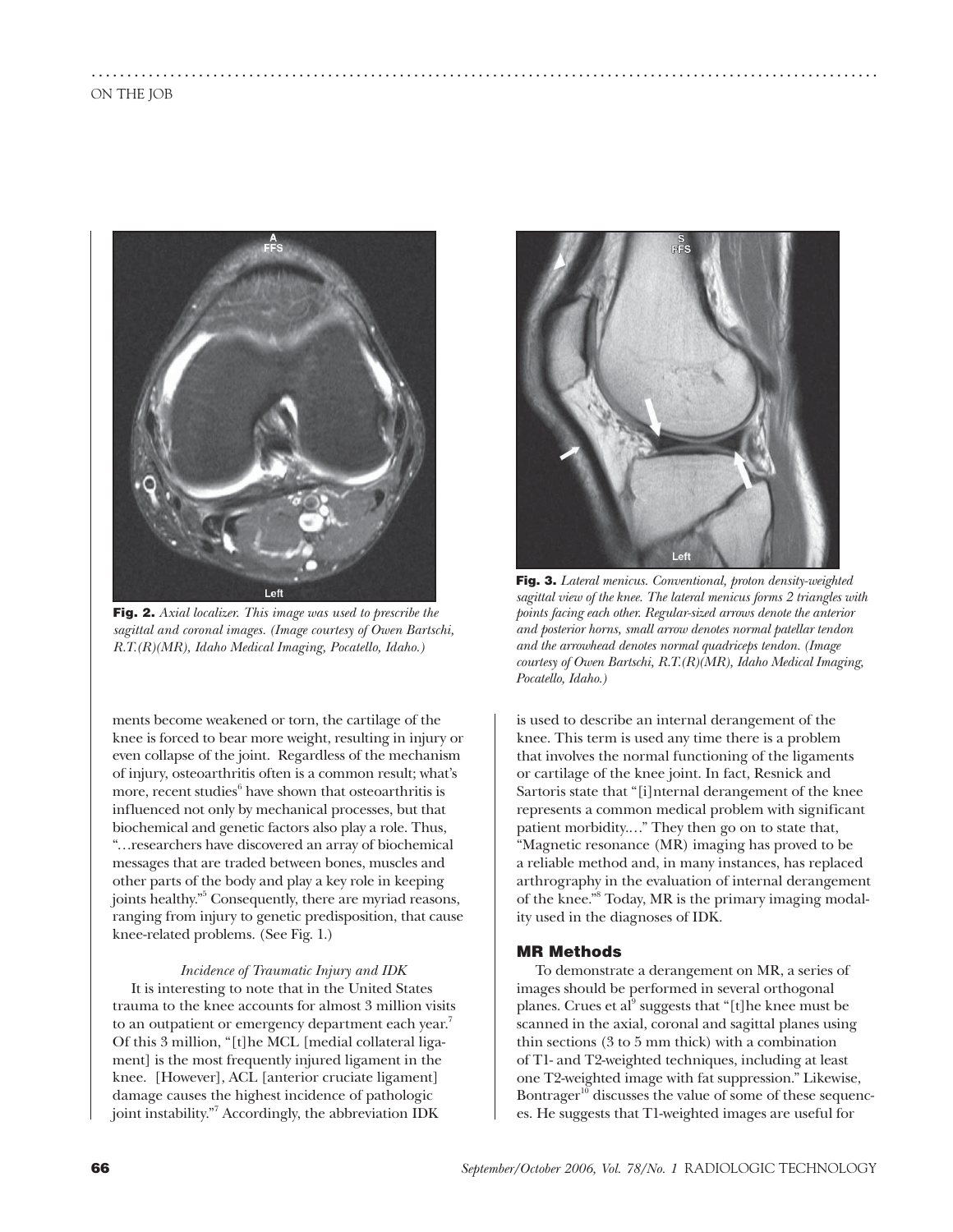

**Fig. 2.** *Axial localizer. This image was used to prescribe the sagittal and coronal images. (Image courtesy of Owen Bartschi, R.T.(R)(MR), Idaho Medical Imaging, Pocatello, Idaho.)*

ments become weakened or torn, the cartilage of the knee is forced to bear more weight, resulting in injury or even collapse of the joint. Regardless of the mechanism of injury, osteoarthritis often is a common result; what's more, recent studies $6$  have shown that osteoarthritis is influenced not only by mechanical processes, but that biochemical and genetic factors also play a role. Thus, "…researchers have discovered an array of biochemical messages that are traded between bones, muscles and other parts of the body and play a key role in keeping joints healthy."5 Consequently, there are myriad reasons, ranging from injury to genetic predisposition, that cause knee-related problems. (See Fig. 1.)

#### *Incidence of Traumatic Injury and IDK*

It is interesting to note that in the United States trauma to the knee accounts for almost 3 million visits to an outpatient or emergency department each year.<sup>7</sup> Of this 3 million, "[t]he MCL [medial collateral ligament] is the most frequently injured ligament in the knee. [However], ACL [anterior cruciate ligament] damage causes the highest incidence of pathologic joint instability."7 Accordingly, the abbreviation IDK



**Fig. 3.** *Lateral menicus. Conventional, proton density-weighted sagittal view of the knee. The lateral menicus forms 2 triangles with points facing each other. Regular-sized arrows denote the anterior and posterior horns, small arrow denotes normal patellar tendon and the arrowhead denotes normal quadriceps tendon. (Image courtesy of Owen Bartschi, R.T.(R)(MR), Idaho Medical Imaging, Pocatello, Idaho.)*

is used to describe an internal derangement of the knee. This term is used any time there is a problem that involves the normal functioning of the ligaments or cartilage of the knee joint. In fact, Resnick and Sartoris state that "[i]nternal derangement of the knee represents a common medical problem with significant patient morbidity.…" They then go on to state that, "Magnetic resonance (MR) imaging has proved to be a reliable method and, in many instances, has replaced arthrography in the evaluation of internal derangement of the knee."8 Today, MR is the primary imaging modality used in the diagnoses of IDK.

#### **MR Methods**

..............................................................................................................

To demonstrate a derangement on MR, a series of images should be performed in several orthogonal planes. Crues et al<sup>9</sup> suggests that "[t]he knee must be scanned in the axial, coronal and sagittal planes using thin sections (3 to 5 mm thick) with a combination of T1- and T2-weighted techniques, including at least one T2-weighted image with fat suppression." Likewise, Bontrager $^{10}$  discusses the value of some of these sequences. He suggests that T1-weighted images are useful for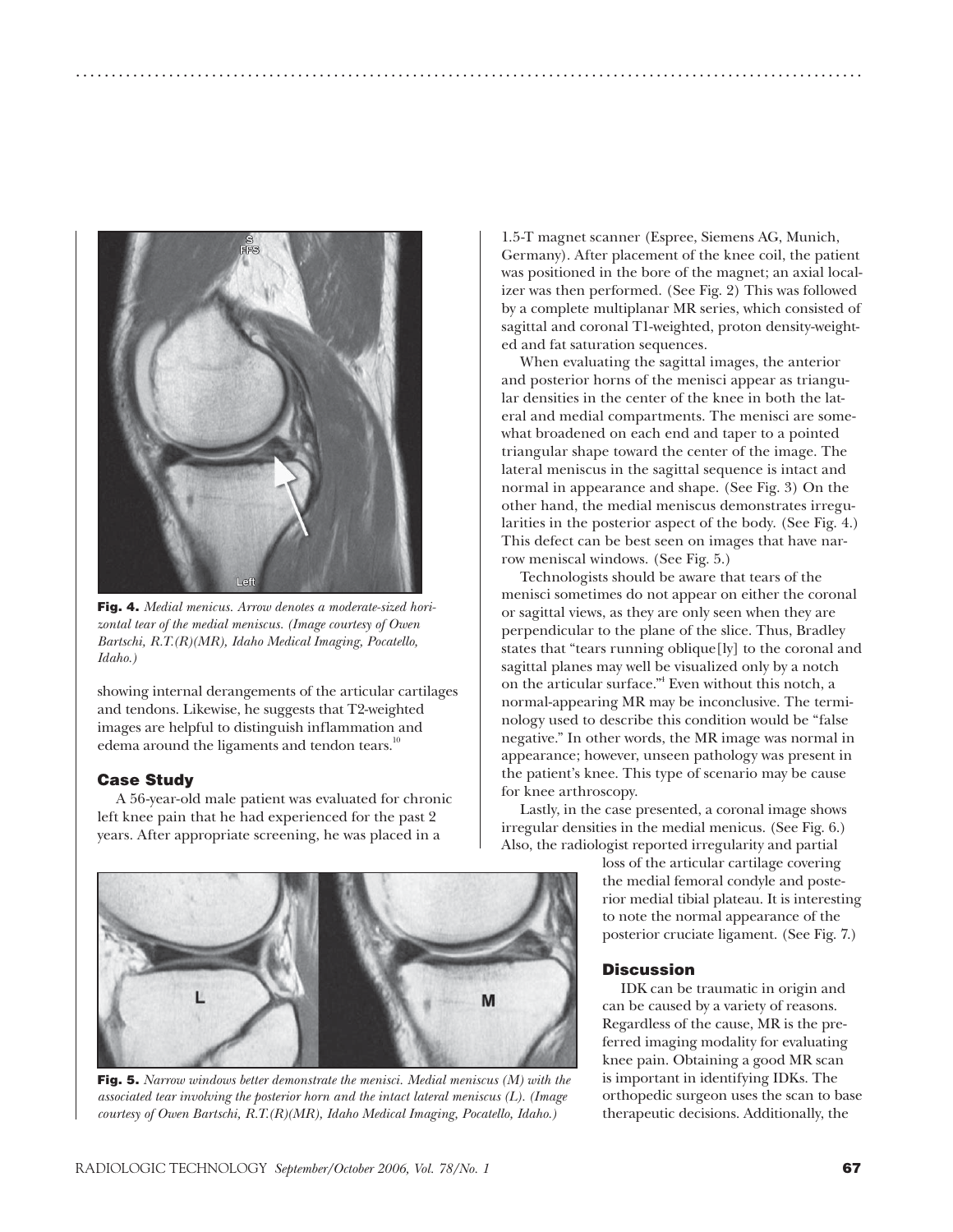

**Fig. 4.** *Medial menicus. Arrow denotes a moderate-sized horizontal tear of the medial meniscus. (Image courtesy of Owen Bartschi, R.T.(R)(MR), Idaho Medical Imaging, Pocatello, Idaho.)*

showing internal derangements of the articular cartilages and tendons. Likewise, he suggests that T2-weighted images are helpful to distinguish inflammation and edema around the ligaments and tendon tears.<sup>10</sup>

#### **Case Study**

A 56-year-old male patient was evaluated for chronic left knee pain that he had experienced for the past 2 years. After appropriate screening, he was placed in a

1.5-T magnet scanner (Espree, Siemens AG, Munich, Germany). After placement of the knee coil, the patient was positioned in the bore of the magnet; an axial localizer was then performed. (See Fig. 2) This was followed by a complete multiplanar MR series, which consisted of sagittal and coronal T1-weighted, proton density-weighted and fat saturation sequences.

..............................................................................................................

When evaluating the sagittal images, the anterior and posterior horns of the menisci appear as triangular densities in the center of the knee in both the lateral and medial compartments. The menisci are somewhat broadened on each end and taper to a pointed triangular shape toward the center of the image. The lateral meniscus in the sagittal sequence is intact and normal in appearance and shape. (See Fig. 3) On the other hand, the medial meniscus demonstrates irregularities in the posterior aspect of the body. (See Fig. 4.) This defect can be best seen on images that have narrow meniscal windows. (See Fig. 5.)

Technologists should be aware that tears of the menisci sometimes do not appear on either the coronal or sagittal views, as they are only seen when they are perpendicular to the plane of the slice. Thus, Bradley states that "tears running oblique[ly] to the coronal and sagittal planes may well be visualized only by a notch on the articular surface."4 Even without this notch, a normal-appearing MR may be inconclusive. The terminology used to describe this condition would be "false negative." In other words, the MR image was normal in appearance; however, unseen pathology was present in the patient's knee. This type of scenario may be cause for knee arthroscopy.

Lastly, in the case presented, a coronal image shows irregular densities in the medial menicus. (See Fig. 6.) Also, the radiologist reported irregularity and partial

> loss of the articular cartilage covering the medial femoral condyle and posterior medial tibial plateau. It is interesting to note the normal appearance of the posterior cruciate ligament. (See Fig. 7.)

#### **Discussion**

IDK can be traumatic in origin and can be caused by a variety of reasons. Regardless of the cause, MR is the preferred imaging modality for evaluating knee pain. Obtaining a good MR scan is important in identifying IDKs. The orthopedic surgeon uses the scan to base therapeutic decisions. Additionally, the



**Fig. 5.** *Narrow windows better demonstrate the menisci. Medial meniscus (M) with the associated tear involving the posterior horn and the intact lateral meniscus (L). (Image courtesy of Owen Bartschi, R.T.(R)(MR), Idaho Medical Imaging, Pocatello, Idaho.)*